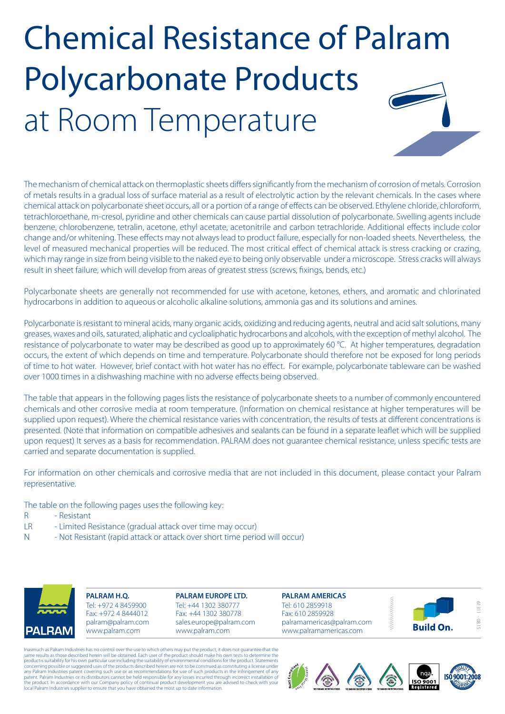

The mechanism of chemical attack on thermoplastic sheets differs significantly from the mechanism of corrosion of metals. Corrosion of metals results in a gradual loss of surface material as a result of electrolytic action by the relevant chemicals. In the cases where chemical attack on polycarbonate sheet occurs, all or a portion of a range of effects can be observed. Ethylene chloride, chloroform, tetrachloroethane, m-cresol, pyridine and other chemicals can cause partial dissolution of polycarbonate. Swelling agents include benzene, chlorobenzene, tetralin, acetone, ethyl acetate, acetonitrile and carbon tetrachloride. Additional effects include color change and/or whitening. These effects may not always lead to product failure, especially for non-loaded sheets. Nevertheless, the level of measured mechanical properties will be reduced. The most critical effect of chemical attack is stress cracking or crazing, which may range in size from being visible to the naked eye to being only observable under a microscope. Stress cracks will always result in sheet failure, which will develop from areas of greatest stress (screws, fixings, bends, etc.)

Polycarbonate sheets are generally not recommended for use with acetone, ketones, ethers, and aromatic and chlorinated hydrocarbons in addition to aqueous or alcoholic alkaline solutions, ammonia gas and its solutions and amines.

Polycarbonate is resistant to mineral acids, many organic acids, oxidizing and reducing agents, neutral and acid salt solutions, many greases, waxes and oils, saturated, aliphatic and cycloaliphatic hydrocarbons and alcohols, with the exception of methyl alcohol. The resistance of polycarbonate to water may be described as good up to approximately 60 °C. At higher temperatures, degradation occurs, the extent of which depends on time and temperature. Polycarbonate should therefore not be exposed for long periods of time to hot water. However, brief contact with hot water has no effect. For example, polycarbonate tableware can be washed over 1000 times in a dishwashing machine with no adverse effects being observed.

The table that appears in the following pages lists the resistance of polycarbonate sheets to a number of commonly encountered chemicals and other corrosive media at room temperature. (Information on chemical resistance at higher temperatures will be supplied upon request). Where the chemical resistance varies with concentration, the results of tests at different concentrations is presented. (Note that information on compatible adhesives and sealants can be found in a separate leaflet which will be supplied upon request) It serves as a basis for recommendation. PALRAM does not guarantee chemical resistance, unless specific tests are carried and separate documentation is supplied.

For information on other chemicals and corrosive media that are not included in this document, please contact your Palram representative.

The table on the following pages uses the following key:

- R Resistant
- LR Limited Resistance (gradual attack over time may occur)
- N Not Resistant (rapid attack or attack over short time period will occur)



**PALRAM H.Q.** Tel: +972 4 8459900 Fax: +972 4 8444012 palram@palram.com www.palram.com

**PALRAM EUROPE LTD.** Tel: +44 1302 380777 Fax: +44 1302 380778 sales.europe@palram.com www.palram.com





61311 - 08.15

Inasmuch as Palram Industries has no control over the use to which others may put the product, it does not guarantee that the<br>same results as those described herein will be obtained. Each user of the product should make hi products suitability for his own particular use including the suitability of environmental conditions for the product. Statements<br>concerning possible or suggested uses of the products described herein are not to be constru patent. Palram Industries or its distributors cannot be held responsible for any losses incurred through incorrect installation of<br>the product. In accordance with our Company policy of continual product development you are

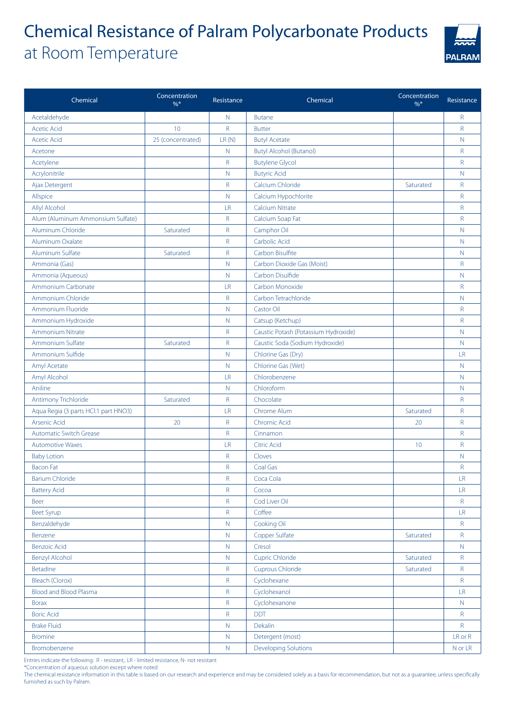

| Chemical                             | Concentration<br>$\frac{0}{6}$ * | Resistance    | Chemical                             | Concentration<br>$\frac{0}{6}$ * | Resistance   |
|--------------------------------------|----------------------------------|---------------|--------------------------------------|----------------------------------|--------------|
| Acetaldehyde                         |                                  | $\mathsf{N}$  | <b>Butane</b>                        |                                  | $\mathsf{R}$ |
| <b>Acetic Acid</b>                   | 10                               | $\mathsf R$   | <b>Butter</b>                        |                                  | R            |
| <b>Acetic Acid</b>                   | 25 (concentrated)                | LR(N)         | <b>Butyl Acetate</b>                 |                                  | $\mathbb N$  |
| Acetone                              |                                  | $\mathsf{N}$  | <b>Butyl Alcohol (Butanol)</b>       |                                  | $\mathsf{R}$ |
| Acetylene                            |                                  | $\mathsf R$   | <b>Butylene Glycol</b>               |                                  | $\mathsf{R}$ |
| Acrylonitrile                        |                                  | $\mathsf{N}$  | <b>Butyric Acid</b>                  |                                  | N            |
| Ajax Detergent                       |                                  | $\mathsf R$   | Calcium Chloride                     | Saturated                        | $\mathsf{R}$ |
| Allspice                             |                                  | $\mathbb N$   | Calcium Hypochlorite                 |                                  | R            |
| Allyl Alcohol                        |                                  | LR            | <b>Calcium Nitrate</b>               |                                  | $\mathsf R$  |
| Alum (Aluminum Ammonsium Sulfate)    |                                  | $\mathsf R$   | Calcium Soap Fat                     |                                  | $\mathsf{R}$ |
| Aluminum Chloride                    | Saturated                        | $\mathsf R$   | Camphor Oil                          |                                  | $\mathbb N$  |
| Aluminum Oxalate                     |                                  | $\mathsf R$   | Carbolic Acid                        |                                  | N            |
| Aluminum Sulfate                     | Saturated                        | $\mathsf R$   | Carbon Bisulfite                     |                                  | $\mathbb N$  |
| Ammonia (Gas)                        |                                  | $\mathsf{N}$  | Carbon Dioxide Gas (Moist)           |                                  | $\mathsf{R}$ |
| Ammonia (Aqueous)                    |                                  | $\mathsf{N}$  | Carbon Disulfide                     |                                  | N            |
| Ammonium Carbonate                   |                                  | LR            | Carbon Monoxide                      |                                  | $\mathsf{R}$ |
| Ammonium Chloride                    |                                  | $\mathsf R$   | Carbon Tetrachloride                 |                                  | $\mathbb N$  |
| Ammonium Fluoride                    |                                  | $\mathsf{N}$  | <b>Castor Oil</b>                    |                                  | $\mathsf{R}$ |
| Ammonium Hydroxide                   |                                  | $\mathbb N$   | Catsup (Ketchup)                     |                                  | $\mathsf{R}$ |
| <b>Ammonium Nitrate</b>              |                                  | R             | Caustic Potash (Potassium Hydroxide) |                                  | N            |
| Ammonium Sulfate                     | Saturated                        | $\mathsf R$   | Caustic Soda (Sodium Hydroxide)      |                                  | $\mathbb N$  |
| Ammonium Sulfide                     |                                  | N.            | Chlorine Gas (Dry)                   |                                  | <b>LR</b>    |
| Amyl Acetate                         |                                  | $\mathsf{N}$  | Chlorine Gas (Wet)                   |                                  | $\mathbb N$  |
| Amyl Alcohol                         |                                  | LR            | Chlorobenzene                        |                                  | N            |
| Aniline                              |                                  | $\mathsf{N}$  | Chloroform                           |                                  | $\mathbb N$  |
| Antimony Trichloride                 | Saturated                        | R             | Chocolate                            |                                  | R            |
| Aqua Regia (3 parts HCl:1 part HNO3) |                                  | LR            | Chrome Alum                          | Saturated                        | R            |
| Arsenic Acid                         | 20                               | $\mathsf R$   | Chromic Acid                         | 20                               | $\mathsf{R}$ |
| <b>Automatic Switch Grease</b>       |                                  | $\mathsf R$   | Cinnamon                             |                                  | R            |
| <b>Automotive Waxes</b>              |                                  | LR            | <b>Citric Acid</b>                   | 10                               | $\mathsf{R}$ |
| <b>Baby Lotion</b>                   |                                  | $\mathsf R$   | Cloves                               |                                  | N            |
| <b>Bacon Fat</b>                     |                                  | $\mathsf R$   | Coal Gas                             |                                  | $\mathsf{R}$ |
| <b>Barium Chloride</b>               |                                  | R             | Coca Cola                            |                                  | <b>LR</b>    |
| <b>Battery Acid</b>                  |                                  | $\mathsf{R}$  | Cocoa                                |                                  | LR           |
| Beer                                 |                                  | R             | Cod Liver Oil                        |                                  | $\mathsf R$  |
| <b>Beet Syrup</b>                    |                                  | $\mathsf R$   | Coffee                               |                                  | LR           |
| Benzaldehyde                         |                                  | $\mathbb N$   | Cooking Oil                          |                                  | $\mathsf R$  |
| Benzene                              |                                  | $\mathsf{N}$  | Copper Sulfate                       | Saturated                        | R            |
| <b>Benzoic Acid</b>                  |                                  | ${\mathsf N}$ | Cresol                               |                                  | $\mathsf{N}$ |
| <b>Benzyl Alcohol</b>                |                                  | ${\sf N}$     | <b>Cupric Chloride</b>               | Saturated                        | R            |
| <b>Betadine</b>                      |                                  | $\mathsf R$   | Cuprous Chloride                     | Saturated                        | R            |
| Bleach (Clorox)                      |                                  | $\mathsf R$   | Cyclohexane                          |                                  | $\mathsf R$  |
| Blood and Blood Plasma               |                                  | $\mathsf R$   | Cyclohexanol                         |                                  | LR           |
| <b>Borax</b>                         |                                  | $\mathsf R$   | Cyclohexanone                        |                                  | N            |
| <b>Boric Acid</b>                    |                                  | $\mathsf R$   | <b>DDT</b>                           |                                  | $\mathsf R$  |
| <b>Brake Fluid</b>                   |                                  | $\mathbb N$   | <b>Dekalin</b>                       |                                  | R            |
| <b>Bromine</b>                       |                                  | $\mathbb N$   | Detergent (most)                     |                                  | LR or R      |
| Bromobenzene                         |                                  | ${\sf N}$     | <b>Developing Solutions</b>          |                                  | N or LR      |

Entries indicate the following: R - resistant,. LR - limited resistance, N- not resistant

\*Concentration of aqueous solution except where noted

The chemical resistance information in this table is based on our research and experience and may be considered solely as a basis for recommendation, but not as a guarantee, unless specifically furnished as such by Palram.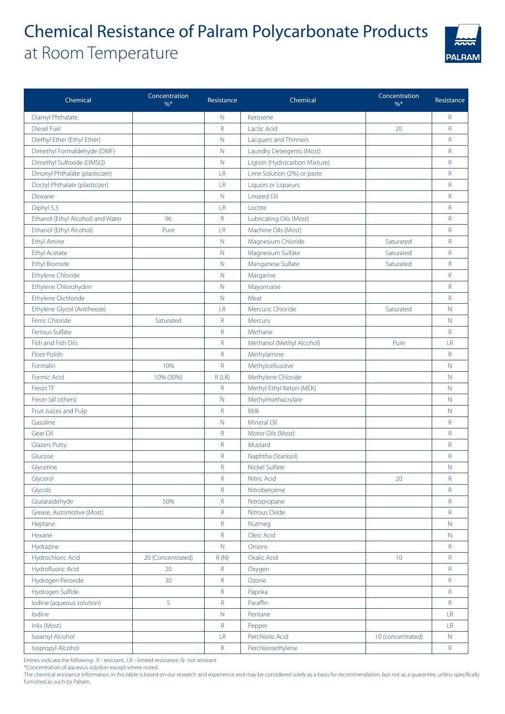

| Chemical                                    | Concentration<br>$\frac{9}{6}$ * | Resistance  | Chemical                      | Concentration<br>$\%$ * | Resistance                            |
|---------------------------------------------|----------------------------------|-------------|-------------------------------|-------------------------|---------------------------------------|
| Diamyl Phthalate                            |                                  | $\mathbb N$ | Kerosene                      |                         | $\mathsf R$                           |
| <b>Diesel Fuel</b>                          |                                  | R           | Lactic Acid                   | 20                      | R                                     |
| Diethyl Ether (Ethyl Ether)                 |                                  | $\mathbb N$ | Lacquers and Thinners         |                         | R                                     |
| Dimethyl Formaldehyde (DMF)                 |                                  | $\mathbb N$ | Laundry Detergents (Most)     |                         | R                                     |
| Dimethyl Sulfoxide (DMSO)                   |                                  | $\mathbb N$ | Ligroin (Hydrocarbon Mixture) |                         | R                                     |
| Dinonyl Phthalate (plasticizer)             |                                  | LR          | Lime Solution (2%) or paste   |                         | R                                     |
| Doctyl Phthalate (plasticizer)              |                                  | LR          | Liquors or Liqueurs           |                         | R                                     |
| Dioxane                                     |                                  | $\mathbb N$ | Linseed Oil                   |                         | R                                     |
| Diphyl 5,3                                  |                                  | LR          | Loctite                       |                         | R                                     |
| Ethanol (Ethyl Alcohol) and Water           | 96                               | R           | Lubricating Oils (Most)       |                         | R                                     |
| Ethanol (Ethyl Alcohol)                     | Pure                             | LR          | Machine Oils (Most)           |                         | R                                     |
| <b>Ethyl Amine</b>                          |                                  | $\mathbb N$ | Magnesium Chloride            | Saturated               | R                                     |
| <b>Ethyl Acetate</b>                        |                                  | $\mathbb N$ | Magnesium Sulfate             | Saturated               | R                                     |
| <b>Ethyl Bromide</b>                        |                                  | $\mathbb N$ | Manganese Sulfate             | Saturated               | R                                     |
| Ethylene Chloride                           |                                  | $\mathbb N$ | Margarine                     |                         | R                                     |
| Ethylene Chlorohydrin                       |                                  | $\mathbb N$ | Mayonnaise                    |                         | R                                     |
| Ethylene Dichloride                         |                                  | $\mathbb N$ | Meat                          |                         | R                                     |
| Ethylene Glycol (Antifreeze)                |                                  | LR          | Mercuric Chloride             | Saturated               | N                                     |
| Ferric Chloride                             | Saturated                        | R           | Mercury                       |                         | $\mathsf{N}$                          |
| Ferrous Sulfate                             |                                  | R           | Methane                       |                         | R                                     |
| Fish and Fish Oils                          |                                  | R           | Methanol (Methyl Alcohol)     | Pure                    | LR                                    |
| <b>Floor Polish</b>                         |                                  | R           | Methylamine                   |                         | R                                     |
| Formalin                                    | 10%                              | R           | Methylcellusolve              |                         | $\mathbb N$                           |
| Formic Acid                                 | 10% (30%)                        | R(LR)       | Methylene Chloride            |                         | N                                     |
| Freon TF                                    |                                  | R           | Methyl Ethyl Keton (MEK)      |                         | $\mathbb N$                           |
| Freon (all others)                          |                                  | $\mathbb N$ | Methylmethacrylate            |                         | $\mathsf{N}$                          |
| Fruit Juices and Pulp                       |                                  | $\mathsf R$ | Milk                          |                         | $\mathsf{N}$                          |
| Gasoline                                    |                                  | $\mathbb N$ | <b>Mineral Oil</b>            |                         | $\mathsf R$                           |
| Gear Oil                                    |                                  | R           | Motor Oils (Most)             |                         | R                                     |
| <b>Glazers Putty</b>                        |                                  | R           | Mustard                       |                         | R                                     |
| Glucose                                     |                                  | R           | Naphtha (Stanisol)            |                         | R                                     |
| Glycerine                                   |                                  | R           | <b>Nickel Sulfate</b>         |                         | $\mathbb N$                           |
| Glycerol                                    |                                  | R           | Nitric Acid                   | 20                      | $\mathsf R$                           |
| Glycols                                     |                                  | R           | Nitrobenzene                  |                         | R                                     |
| Glutaraldehyde                              | 50%                              | R           | Nitropropane                  |                         | $\mathsf R$                           |
| Grease, Automotive (Most)                   |                                  | R           | Nitrous Oxide                 |                         | $\mathsf R$                           |
| Heptane                                     |                                  | R           | Nutmeg                        |                         | $\mathbb N$                           |
| Hexane                                      |                                  | R           | Oleic Acid                    |                         | N                                     |
| Hydrazine                                   |                                  | N           | Onions                        |                         | $\mathsf R$                           |
| Hydrochloric Acid                           | 20 (Concentrated)                | R(N)        | Oxalic Acid                   | 10 <sup>°</sup>         | R                                     |
| Hydrofluoric Acid<br>Hydrogen Peroxide      | 20                               | $\mathsf R$ | Oxygen                        |                         | $\mathsf R$                           |
|                                             | 30                               | R           | Ozone                         |                         | R                                     |
| Hydrogen Sulfide                            |                                  | R           | Paprika                       |                         | R                                     |
| lodine (aqueous solution)                   | 5                                | R           | Paraffin                      |                         | $\mathsf R$                           |
| lodine                                      |                                  | $\mathbb N$ | Pentane                       |                         | <b>LR</b>                             |
| Inks (Most)                                 |                                  | R<br>LR.    | Pepper<br>Perchloric Acid     | 10 (concentrated)       | $\mathsf{L}\mathsf{R}$<br>$\mathbb N$ |
| Isoamyl Alcohol<br><b>Isopropyl Alcohol</b> |                                  | R           | Perchloroethylene             |                         | ${\sf R}$                             |
|                                             |                                  |             |                               |                         |                                       |

Entries indicate the following: R - resistant,. LR - limited resistance, N- not resistant

\*Concentration of aqueous solution except where noted

The chemical resistance information in this table is based on our research and experience and may be considered solely as a basis for recommendation, but not as a guarantee, unless specifically furnished as such by Palram.